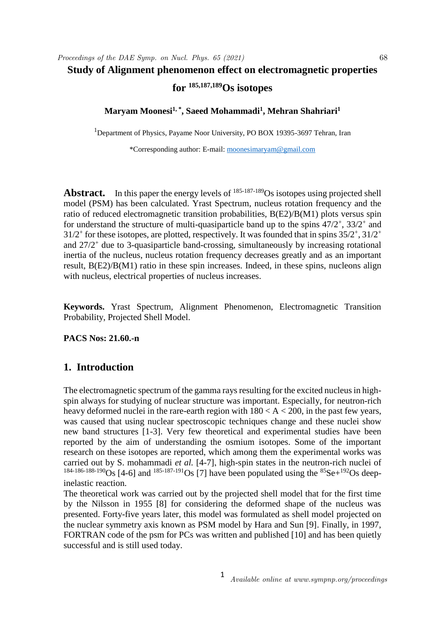## **Study of Alignment phenomenon effect on electromagnetic properties for 185,187,189Os isotopes**

**Maryam Moonesi1, \* , Saeed Mohammadi<sup>1</sup> , Mehran Shahriari<sup>1</sup>**

<sup>1</sup>Department of Physics, Payame Noor University, PO BOX 19395-3697 Tehran, Iran

\*Corresponding author: E-mail: moonesimaryam@gmail.com

Abstract. In this paper the energy levels of <sup>185-187-189</sup>Os isotopes using projected shell model (PSM) has been calculated. Yrast Spectrum, nucleus rotation frequency and the ratio of reduced electromagnetic transition probabilities, B(E2)/B(M1) plots versus spin for understand the structure of multi-quasiparticle band up to the spins  $47/2^+$ ,  $33/2^+$  and  $31/2^+$  for these isotopes, are plotted, respectively. It was founded that in spins  $35/2^+, 31/2^+$ and 27/2<sup>+</sup> due to 3-quasiparticle band-crossing, simultaneously by increasing rotational inertia of the nucleus, nucleus rotation frequency decreases greatly and as an important result, B(E2)/B(M1) ratio in these spin increases. Indeed, in these spins, nucleons align with nucleus, electrical properties of nucleus increases.

**Keywords.** Yrast Spectrum, Alignment Phenomenon, Electromagnetic Transition Probability, Projected Shell Model.

**PACS Nos: 21.60.-n**

## **1. Introduction**

The electromagnetic spectrum of the gamma rays resulting for the excited nucleus in highspin always for studying of nuclear structure was important. Especially, for neutron-rich heavy deformed nuclei in the rare-earth region with  $180 < A < 200$ , in the past few years, was caused that using nuclear spectroscopic techniques change and these nuclei show new band structures [1-3]. Very few theoretical and experimental studies have been reported by the aim of understanding the osmium isotopes. Some of the important research on these isotopes are reported, which among them the experimental works was carried out by S. mohammadi *et al.* [4-7], high-spin states in the neutron-rich nuclei of  $184-186-188-190$  S [4-6] and  $185-187-191$  Os [7] have been populated using the  $85$  Se $+192$  Os deepinelastic reaction.

The theoretical work was carried out by the projected shell model that for the first time by the Nilsson in 1955 [8] for considering the deformed shape of the nucleus was presented. Forty-five years later, this model was formulated as shell model projected on the nuclear symmetry axis known as PSM model by Hara and Sun [9]. Finally, in 1997, FORTRAN code of the psm for PCs was written and published [10] and has been quietly successful and is still used today.

1